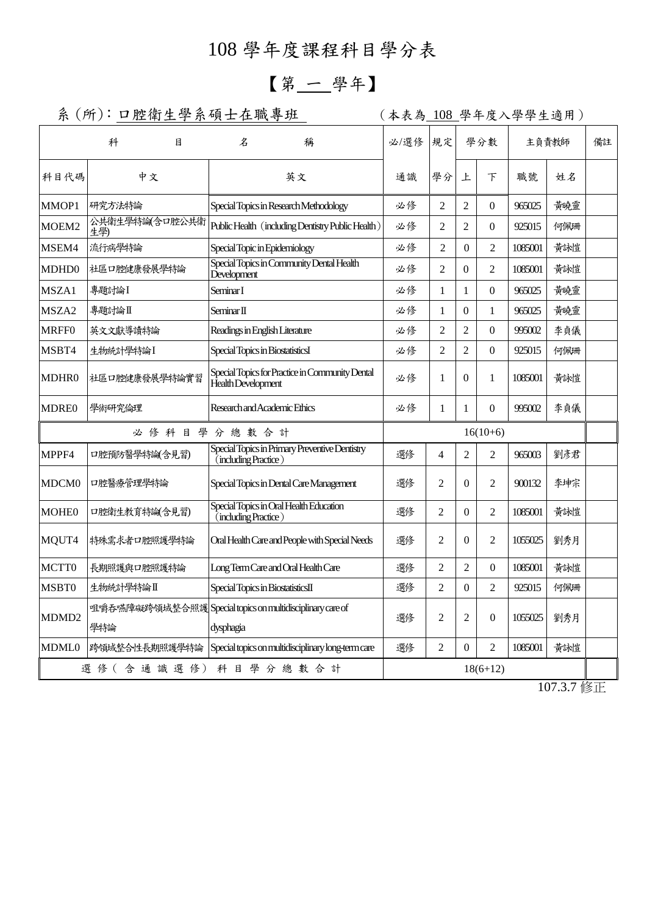## 108 學年度課程科目學分表

## 【第 一 學年】

系 (所): 口腔衛生學系碩士在職專班 | (本表為 108 學年度入學學生適用)

|                                     | 科                     | 目 | 名                                                                     |            | 稱                                                  | 必/選修           | 規定               |                | 學分數            |         | 主負責教師 | 備註 |
|-------------------------------------|-----------------------|---|-----------------------------------------------------------------------|------------|----------------------------------------------------|----------------|------------------|----------------|----------------|---------|-------|----|
| 科目代碼                                | 中文                    |   | 英文                                                                    |            | 通識                                                 | 學分             | 上                | 下              | 職號             | 姓名      |       |    |
| MMOP1                               | 研究方法特論                |   | Special Topics in Research Methodology                                |            |                                                    | 必修             | 2                | 2              | $\Omega$       | 965025  | 黃曉靈   |    |
| MOEM2                               | 公共衛生學特論(含口腔公共衛<br>生學) |   |                                                                       |            | Public Health (including Dentistry Public Health)  | 必修             | $\overline{c}$   | $\overline{c}$ | $\Omega$       | 925015  | 何佩珊   |    |
| MSEM4                               | 流行病學特論                |   | Special Topic in Epidemiology                                         |            |                                                    | 必修             | $\overline{2}$   | $\theta$       | $\overline{2}$ | 1085001 | 黃詠愷   |    |
| MDHD <sub>0</sub>                   | 社區口腔健康發展學特論           |   | Special Topics in Community Dental Health<br>Development              |            |                                                    | 必修             | $\overline{c}$   | $\theta$       | 2              | 1085001 | 黃詠愷   |    |
| MSZA1                               | 專題討論I                 |   | Seminar I                                                             |            |                                                    | 必修             | 1                | 1              | $\Omega$       | 965025  | 黃曉靈   |    |
| MSZA <sub>2</sub>                   | 專題討論Ⅱ                 |   | Seminar II                                                            |            |                                                    | 必修             | 1                | $\Omega$       | 1              | 965025  | 黃曉靈   |    |
| <b>MRFF0</b>                        | 英文文獻導讀特論              |   | Readings in English Literature                                        |            |                                                    | 必修             | 2                | $\overline{2}$ | $\Omega$       | 995002  | 李貞儀   |    |
| MSBT4                               | 生物統計學特論I              |   | Special Topics in BiostatisticsI                                      |            |                                                    | 必修             | 2                | $\overline{2}$ | $\Omega$       | 925015  | 何佩珊   |    |
| MDHR0                               | 社區口腔健康發展學特論實習         |   | Special Topics for Practice in Community Dental<br>Health Development |            |                                                    | 必修             | 1                | $\Omega$       | $\mathbf{1}$   | 1085001 | 黃詠愷   |    |
| <b>MDRE0</b>                        | 學術研究倫理                |   | Research and Academic Ethics                                          |            |                                                    | 必修             | 1                | 1              | $\Omega$       | 995002  | 李貞儀   |    |
| 必修科目學分總數合計                          |                       |   |                                                                       | $16(10+6)$ |                                                    |                |                  |                |                |         |       |    |
| MPPF4                               | 口腔預防醫學特論(含見習)         |   | (including Practice)                                                  |            | Special Topics in Primary Preventive Dentistry     | 選修             | 4                | $\overline{2}$ | $\overline{2}$ | 965003  | 劉彥君   |    |
| MDCM <sub>0</sub>                   | 口腔醫療管理學特論             |   | Special Topics in Dental Care Management                              |            | 選修                                                 | $\overline{2}$ | $\theta$         | $\overline{2}$ | 900132         | 李坤宗     |       |    |
| MOHE0                               | 口腔衛生教育特論(含見習)         |   | Special Topics in Oral Health Education<br>(including Practice)       |            | 選修                                                 | $\overline{2}$ | $\theta$         | $\overline{c}$ | 1085001        | 黃詠愷     |       |    |
| MQUT4                               | 特殊需求者口腔照護學特論          |   | Oral Health Care and People with Special Needs                        |            | 選修                                                 | $\overline{2}$ | $\theta$         | 2              | 1055025        | 劉秀月     |       |    |
| MCTT0                               | 長期照護與口腔照護特論           |   | Long Term Care and Oral Health Care                                   |            | 選修                                                 | 2              | $\overline{2}$   | $\theta$       | 1085001        | 黃詠愷     |       |    |
| MSBT0                               | 生物統計學特論Ⅱ              |   | Special Topics in BiostatisticsII                                     |            | 選修                                                 | $\overline{2}$ | $\boldsymbol{0}$ | $\overline{c}$ | 925015         | 何佩珊     |       |    |
| MDMD <sub>2</sub>                   | 學特論                   |   | 咀嚼吞嚥障礙跨領域整合照護Special topics on multidisciplinary care of<br>dysphagia |            | 選修                                                 | $\overline{2}$ | $\overline{2}$   | $\Omega$       | 1055025        | 劉秀月     |       |    |
| <b>MDML0</b>                        | 跨領域整合性長期照護學特論         |   |                                                                       |            | Special topics on multidisciplinary long-term care | 選修             | $\overline{2}$   | $\Omega$       | $\overline{2}$ | 1085001 | 黃詠愷   |    |
| 選修(含通識選修)<br>科目學分總數合計<br>$18(6+12)$ |                       |   |                                                                       |            |                                                    |                |                  |                |                |         |       |    |
|                                     |                       |   |                                                                       |            |                                                    |                |                  |                |                |         |       |    |

107.3.7 修正